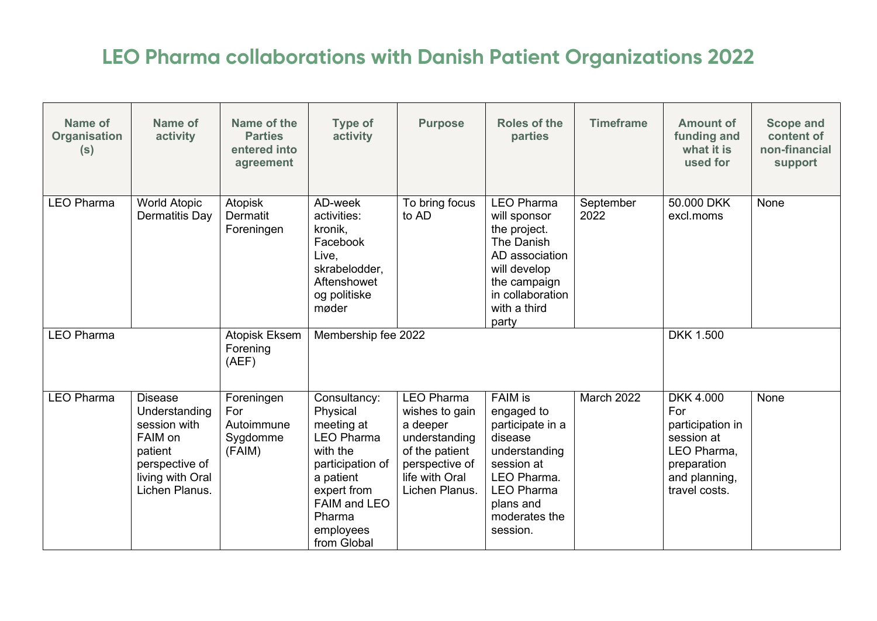## **LEO Pharma collaborations with Danish Patient Organizations 2022**

| Name of<br><b>Organisation</b><br>(s)                   | Name of<br>activity                                                                                                           | Name of the<br><b>Parties</b><br>entered into<br>agreement | Type of<br>activity                                                                                                                                                           | <b>Purpose</b>                                                                                                                           | <b>Roles of the</b><br>parties                                                                                                                                           | <b>Timeframe</b>  | <b>Amount of</b><br>funding and<br>what it is<br>used for                                                                 | <b>Scope and</b><br>content of<br>non-financial<br>support |
|---------------------------------------------------------|-------------------------------------------------------------------------------------------------------------------------------|------------------------------------------------------------|-------------------------------------------------------------------------------------------------------------------------------------------------------------------------------|------------------------------------------------------------------------------------------------------------------------------------------|--------------------------------------------------------------------------------------------------------------------------------------------------------------------------|-------------------|---------------------------------------------------------------------------------------------------------------------------|------------------------------------------------------------|
| <b>LEO Pharma</b>                                       | <b>World Atopic</b><br>Dermatitis Day                                                                                         | Atopisk<br>Dermatit<br>Foreningen                          | AD-week<br>activities:<br>kronik,<br>Facebook<br>Live,<br>skrabelodder,<br>Aftenshowet<br>og politiske<br>møder                                                               | To bring focus<br>to AD                                                                                                                  | <b>LEO Pharma</b><br>will sponsor<br>the project.<br>The Danish<br>AD association<br>will develop<br>the campaign<br>in collaboration<br>with a third<br>party           | September<br>2022 | 50,000 DKK<br>excl.moms                                                                                                   | None                                                       |
| <b>LEO Pharma</b><br>Atopisk Eksem<br>Forening<br>(AEF) |                                                                                                                               | Membership fee 2022                                        |                                                                                                                                                                               |                                                                                                                                          |                                                                                                                                                                          | <b>DKK 1.500</b>  |                                                                                                                           |                                                            |
| <b>LEO Pharma</b>                                       | <b>Disease</b><br>Understanding<br>session with<br>FAIM on<br>patient<br>perspective of<br>living with Oral<br>Lichen Planus. | Foreningen<br>For<br>Autoimmune<br>Sygdomme<br>(FAIM)      | Consultancy:<br>Physical<br>meeting at<br><b>LEO Pharma</b><br>with the<br>participation of<br>a patient<br>expert from<br>FAIM and LEO<br>Pharma<br>employees<br>from Global | <b>LEO Pharma</b><br>wishes to gain<br>a deeper<br>understanding<br>of the patient<br>perspective of<br>life with Oral<br>Lichen Planus. | <b>FAIM is</b><br>engaged to<br>participate in a<br>disease<br>understanding<br>session at<br>LEO Pharma.<br><b>LEO Pharma</b><br>plans and<br>moderates the<br>session. | March 2022        | <b>DKK 4.000</b><br>For<br>participation in<br>session at<br>LEO Pharma,<br>preparation<br>and planning,<br>travel costs. | None                                                       |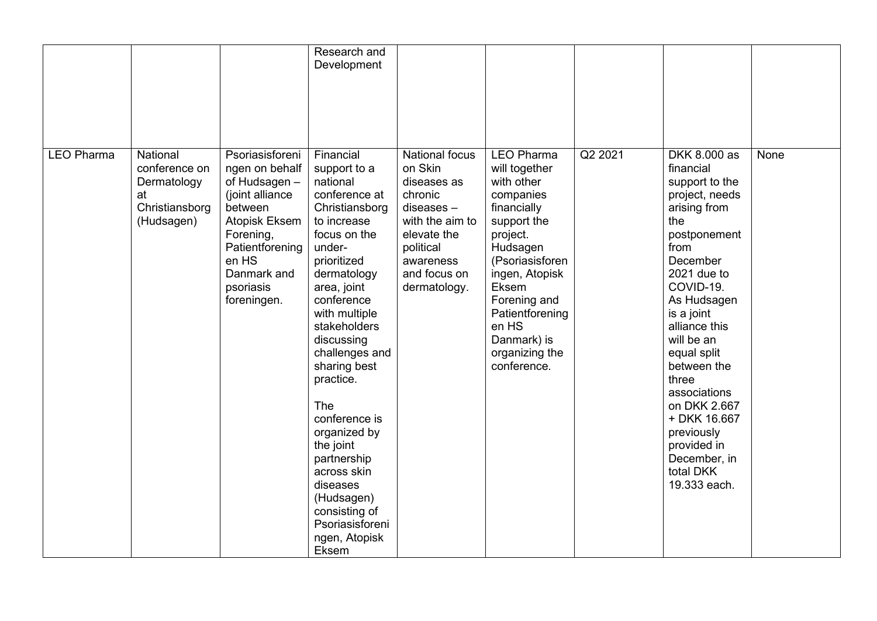|                   |                                                                                |                                                                                                                                                                                       | Research and<br>Development                                                                                                                                                                                                                                                                                                                                                                                                                           |                                                                                                                                                                        |                                                                                                                                                                                                                                                               |         |                                                                                                                                                                                                                                                                                                                                                                                   |      |
|-------------------|--------------------------------------------------------------------------------|---------------------------------------------------------------------------------------------------------------------------------------------------------------------------------------|-------------------------------------------------------------------------------------------------------------------------------------------------------------------------------------------------------------------------------------------------------------------------------------------------------------------------------------------------------------------------------------------------------------------------------------------------------|------------------------------------------------------------------------------------------------------------------------------------------------------------------------|---------------------------------------------------------------------------------------------------------------------------------------------------------------------------------------------------------------------------------------------------------------|---------|-----------------------------------------------------------------------------------------------------------------------------------------------------------------------------------------------------------------------------------------------------------------------------------------------------------------------------------------------------------------------------------|------|
| <b>LEO Pharma</b> | National<br>conference on<br>Dermatology<br>at<br>Christiansborg<br>(Hudsagen) | Psoriasisforeni<br>ngen on behalf<br>of Hudsagen -<br>(joint alliance<br>between<br>Atopisk Eksem<br>Forening,<br>Patientforening<br>en HS<br>Danmark and<br>psoriasis<br>foreningen. | Financial<br>support to a<br>national<br>conference at<br>Christiansborg<br>to increase<br>focus on the<br>under-<br>prioritized<br>dermatology<br>area, joint<br>conference<br>with multiple<br>stakeholders<br>discussing<br>challenges and<br>sharing best<br>practice.<br>The<br>conference is<br>organized by<br>the joint<br>partnership<br>across skin<br>diseases<br>(Hudsagen)<br>consisting of<br>Psoriasisforeni<br>ngen, Atopisk<br>Eksem | <b>National focus</b><br>on Skin<br>diseases as<br>chronic<br>$diseases -$<br>with the aim to<br>elevate the<br>political<br>awareness<br>and focus on<br>dermatology. | <b>LEO Pharma</b><br>will together<br>with other<br>companies<br>financially<br>support the<br>project.<br>Hudsagen<br>(Psoriasisforen<br>ingen, Atopisk<br>Eksem<br>Forening and<br>Patientforening<br>en HS<br>Danmark) is<br>organizing the<br>conference. | Q2 2021 | DKK 8.000 as<br>financial<br>support to the<br>project, needs<br>arising from<br>the<br>postponement<br>from<br>December<br>2021 due to<br>COVID-19.<br>As Hudsagen<br>is a joint<br>alliance this<br>will be an<br>equal split<br>between the<br>three<br>associations<br>on DKK 2.667<br>+ DKK 16.667<br>previously<br>provided in<br>December, in<br>total DKK<br>19.333 each. | None |